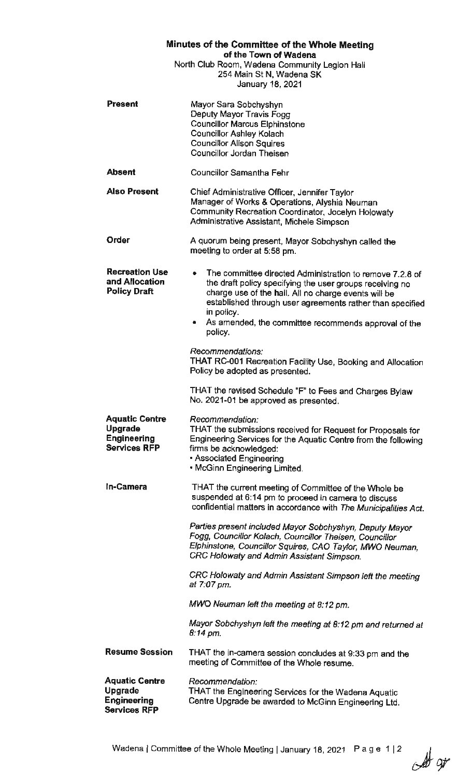| Minutes of the Committee of the Whole Meeting<br>of the Town of Wadena<br>North Club Room, Wadena Community Legion Hall<br>254 Main St N, Wadena SK<br>January 18, 2021 |                                                                                                                                                                                                                                                                                                                                   |
|-------------------------------------------------------------------------------------------------------------------------------------------------------------------------|-----------------------------------------------------------------------------------------------------------------------------------------------------------------------------------------------------------------------------------------------------------------------------------------------------------------------------------|
| Present                                                                                                                                                                 | Mayor Sara Sobchyshyn<br>Deputy Mayor Travis Fogg<br><b>Councillor Marcus Elphinstone</b><br><b>Councillor Ashley Kolach</b><br><b>Councillor Alison Squires</b><br>Councillor Jordan Theisen                                                                                                                                     |
| <b>Absent</b>                                                                                                                                                           | <b>Councillor Samantha Fehr</b>                                                                                                                                                                                                                                                                                                   |
| <b>Also Present</b>                                                                                                                                                     | Chief Administrative Officer, Jennifer Taylor<br>Manager of Works & Operations, Alyshia Neuman<br>Community Recreation Coordinator, Jocelyn Holowaty<br>Administrative Assistant, Michele Simpson                                                                                                                                 |
| Order                                                                                                                                                                   | A quorum being present, Mayor Sobchyshyn called the<br>meeting to order at 5:58 pm.                                                                                                                                                                                                                                               |
| <b>Recreation Use</b><br>and Allocation<br><b>Policy Draft</b>                                                                                                          | The committee directed Administration to remove 7.2.8 of<br>٠<br>the draft policy specifying the user groups receiving no<br>charge use of the hall. All no charge events will be<br>established through user agreements rather than specified<br>in policy.<br>• As amended, the committee recommends approval of the<br>policy. |
|                                                                                                                                                                         | Recommendations:<br>THAT RC-001 Recreation Facility Use, Booking and Allocation<br>Policy be adopted as presented.                                                                                                                                                                                                                |
|                                                                                                                                                                         | THAT the revised Schedule "F" to Fees and Charges Bylaw<br>No. 2021-01 be approved as presented.                                                                                                                                                                                                                                  |
| <b>Aquatic Centre</b><br><b>Upgrade</b><br><b>Engineering</b><br><b>Services RFP</b>                                                                                    | Recommendation:<br>THAT the submissions received for Request for Proposals for<br>Engineering Services for the Aquatic Centre from the following<br>firms be acknowledged:<br>• Associated Engineering<br>. McGinn Engineering Limited.                                                                                           |
| In-Camera                                                                                                                                                               | THAT the current meeting of Committee of the Whole be<br>suspended at 6:14 pm to proceed in camera to discuss<br>confidential matters in accordance with The Municipalities Act.                                                                                                                                                  |
|                                                                                                                                                                         | Parties present included Mayor Sobchyshyn, Deputy Mayor<br>Fogg, Councillor Kolach, Councillor Theisen, Councillor<br>Elphinstone, Councillor Squires, CAO Taylor, MWO Neuman,<br>CRC Holowaty and Admin Assistant Simpson.                                                                                                       |
|                                                                                                                                                                         | CRC Holowaty and Admin Assistant Simpson left the meeting<br>at 7:07 pm.                                                                                                                                                                                                                                                          |
|                                                                                                                                                                         | MWO Neuman left the meeting at 8:12 pm.                                                                                                                                                                                                                                                                                           |
|                                                                                                                                                                         | Mayor Sobchyshyn left the meeting at 8:12 pm and returned at<br>$8:14$ pm.                                                                                                                                                                                                                                                        |
| <b>Resume Session</b>                                                                                                                                                   | THAT the in-camera session concludes at 9:33 pm and the<br>meeting of Committee of the Whole resume.                                                                                                                                                                                                                              |
| <b>Aquatic Centre</b><br><b>Upgrade</b><br><b>Engineering</b><br><b>Services RFP</b>                                                                                    | Recommendation:<br>THAT the Engineering Services for the Wadena Aquatic<br>Centre Upgrade be awarded to McGinn Engineering Ltd.                                                                                                                                                                                                   |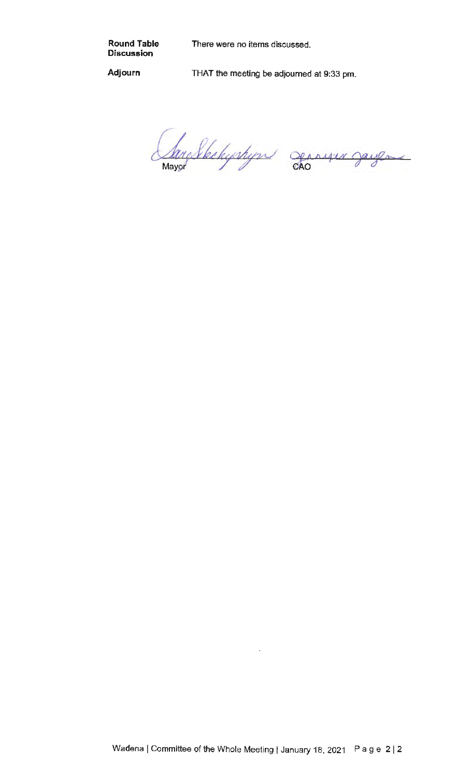**Round Table Discussion** 

There were no items discussed.

**Adjourn** 

THAT the meeting be adjourned at 9:33 pm.

larg Skehyshyn den er Jayen  $\overline{\phantom{a}}$ Mayor